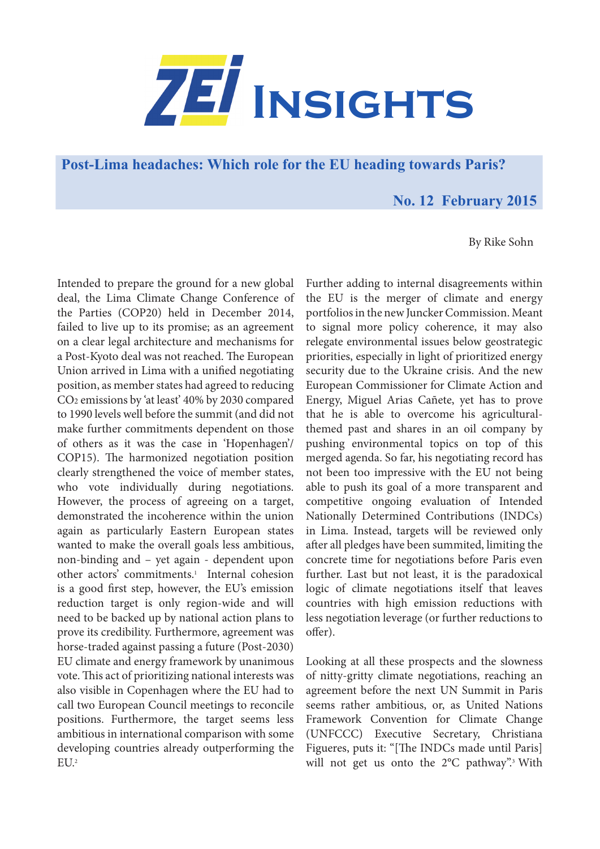

**Post-Lima headaches: Which role for the EU heading towards Paris?** 

## **No. 12 February 2015**

By Rike Sohn

Intended to prepare the ground for a new global deal, the Lima Climate Change Conference of the Parties (COP20) held in December 2014, failed to live up to its promise; as an agreement on a clear legal architecture and mechanisms for a Post-Kyoto deal was not reached. The European Union arrived in Lima with a unified negotiating position, as member states had agreed to reducing CO2 emissions by 'at least' 40% by 2030 compared to 1990 levels well before the summit (and did not make further commitments dependent on those of others as it was the case in 'Hopenhagen'/ COP15). The harmonized negotiation position clearly strengthened the voice of member states, who vote individually during negotiations. However, the process of agreeing on a target, demonstrated the incoherence within the union again as particularly Eastern European states wanted to make the overall goals less ambitious, non-binding and – yet again - dependent upon other actors' commitments.<sup>1</sup> Internal cohesion is a good first step, however, the EU's emission reduction target is only region-wide and will need to be backed up by national action plans to prove its credibility. Furthermore, agreement was horse-traded against passing a future (Post-2030) EU climate and energy framework by unanimous vote. This act of prioritizing national interests was also visible in Copenhagen where the EU had to call two European Council meetings to reconcile positions. Furthermore, the target seems less ambitious in international comparison with some developing countries already outperforming the EU.2

Further adding to internal disagreements within the EU is the merger of climate and energy portfolios in the new Juncker Commission. Meant to signal more policy coherence, it may also relegate environmental issues below geostrategic priorities, especially in light of prioritized energy security due to the Ukraine crisis. And the new European Commissioner for Climate Action and Energy, Miguel Arias Cañete, yet has to prove that he is able to overcome his agriculturalthemed past and shares in an oil company by pushing environmental topics on top of this merged agenda. So far, his negotiating record has not been too impressive with the EU not being able to push its goal of a more transparent and competitive ongoing evaluation of Intended Nationally Determined Contributions (INDCs) in Lima. Instead, targets will be reviewed only after all pledges have been summited, limiting the concrete time for negotiations before Paris even further. Last but not least, it is the paradoxical logic of climate negotiations itself that leaves countries with high emission reductions with less negotiation leverage (or further reductions to offer).

Looking at all these prospects and the slowness of nitty-gritty climate negotiations, reaching an agreement before the next UN Summit in Paris seems rather ambitious, or, as United Nations Framework Convention for Climate Change (UNFCCC) Executive Secretary, Christiana Figueres, puts it: "[The INDCs made until Paris] will not get us onto the 2°C pathway".<sup>3</sup> With